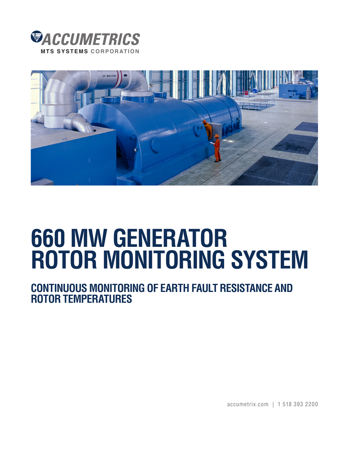



## **660 MW GENERATOR ROTOR MONITORING SYSTEM**

**CONTINUOUS MONITORING OF EARTH FAULT RESISTANCE AND ROTOR TEMPERATURES**

accumetrix.com | 1 518 393 2200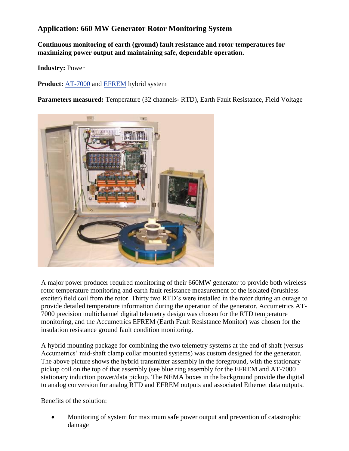## **Application: 660 MW Generator Rotor Monitoring System**

**Continuous monitoring of earth (ground) fault resistance and rotor temperatures for maximizing power output and maintaining safe, dependable operation.** 

**Industry:** Power

**Product:** [AT-7000](http://www.accumetrix.com/Multi-ChannelTelemetry/AT7000) and [EFREM h](http://www.accumetrix.com/GroundFaultProtection)ybrid system

**Parameters measured:** Temperature (32 channels- RTD), Earth Fault Resistance, Field Voltage



A major power producer required monitoring of their 660MW generator to provide both wireless rotor temperature monitoring and earth fault resistance measurement of the isolated (brushless exciter) field coil from the rotor. Thirty two RTD's were installed in the rotor during an outage to provide detailed temperature information during the operation of the generator. Accumetrics AT-7000 precision multichannel digital telemetry design was chosen for the RTD temperature monitoring, and the Accumetrics EFREM (Earth Fault Resistance Monitor) was chosen for the insulation resistance ground fault condition monitoring.

A hybrid mounting package for combining the two telemetry systems at the end of shaft (versus Accumetrics' mid-shaft clamp collar mounted systems) was custom designed for the generator. The above picture shows the hybrid transmitter assembly in the foreground, with the stationary pickup coil on the top of that assembly (see blue ring assembly for the EFREM and AT-7000 stationary induction power/data pickup. The NEMA boxes in the background provide the digital to analog conversion for analog RTD and EFREM outputs and associated Ethernet data outputs.

Benefits of the solution:

 Monitoring of system for maximum safe power output and prevention of catastrophic damage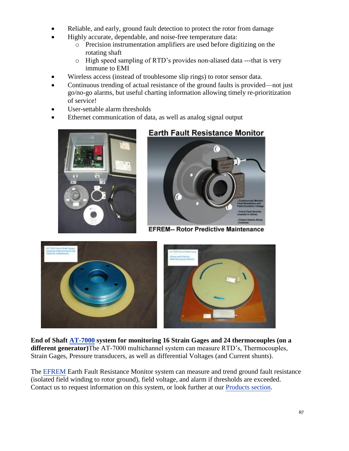- Reliable, and early, ground fault detection to protect the rotor from damage
	- Highly accurate, dependable, and noise-free temperature data:
		- o Precision instrumentation amplifiers are used before digitizing on the rotating shaft
		- o High speed sampling of RTD's provides non-aliased data ---that is very immune to EMI
- Wireless access (instead of troublesome slip rings) to rotor sensor data.
- Continuous trending of actual resistance of the ground faults is provided—not just go/no-go alarms, but useful charting information allowing timely re-prioritization of service!
- User-settable alarm thresholds
- Ethernet communication of data, as well as analog signal output



## **Earth Fault Resistance Monitor**



**EFREM-- Rotor Predictive Maintenance** 



**End of Shaft [AT-7000 s](http://www.accumetrix.com/Multi-ChannelTelemetry/AT7000)ystem for monitoring 16 Strain Gages and 24 thermocouples (on a different generator)**The AT-7000 multichannel system can measure RTD's, Thermocouples, Strain Gages, Pressure transducers, as well as differential Voltages (and Current shunts).

Th[e EFREM E](http://www.accumetrix.com/GroundFaultProtection)arth Fault Resistance Monitor system can measure and trend ground fault resistance (isolated field winding to rotor ground), field voltage, and alarm if thresholds are exceeded. Contact us to request information on this system, or look further at ou[r Products section.](http://www.accumetrix.com/GroundFaultProtection)